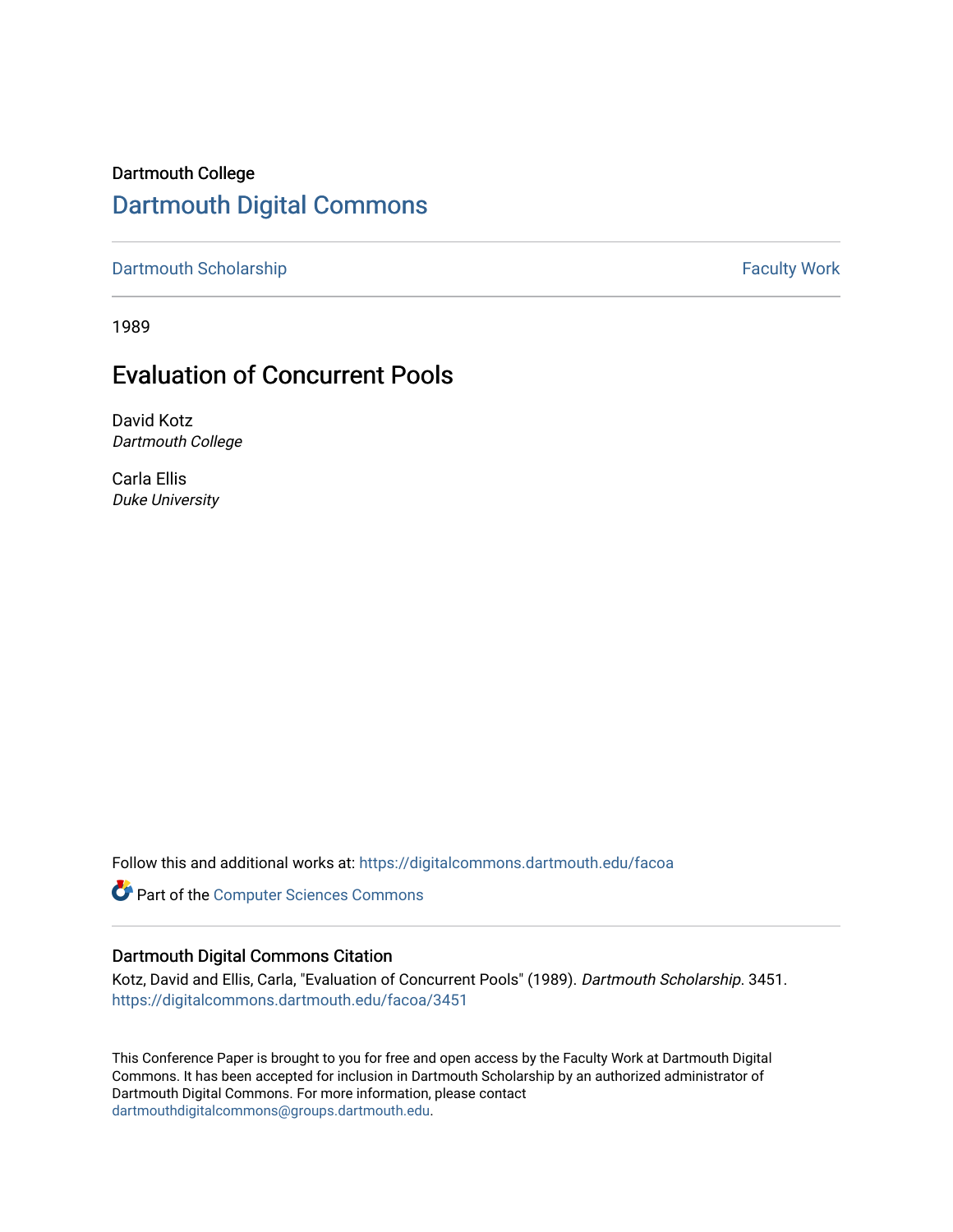## Dartmouth College [Dartmouth Digital Commons](https://digitalcommons.dartmouth.edu/)

[Dartmouth Scholarship](https://digitalcommons.dartmouth.edu/facoa) **Faculty Work Dartmouth Scholarship Faculty Work** 

1989

## Evaluation of Concurrent Pools

David Kotz Dartmouth College

Carla Ellis Duke University

Follow this and additional works at: [https://digitalcommons.dartmouth.edu/facoa](https://digitalcommons.dartmouth.edu/facoa?utm_source=digitalcommons.dartmouth.edu%2Ffacoa%2F3451&utm_medium=PDF&utm_campaign=PDFCoverPages)

Part of the [Computer Sciences Commons](http://network.bepress.com/hgg/discipline/142?utm_source=digitalcommons.dartmouth.edu%2Ffacoa%2F3451&utm_medium=PDF&utm_campaign=PDFCoverPages)

#### Dartmouth Digital Commons Citation

Kotz, David and Ellis, Carla, "Evaluation of Concurrent Pools" (1989). Dartmouth Scholarship. 3451. [https://digitalcommons.dartmouth.edu/facoa/3451](https://digitalcommons.dartmouth.edu/facoa/3451?utm_source=digitalcommons.dartmouth.edu%2Ffacoa%2F3451&utm_medium=PDF&utm_campaign=PDFCoverPages) 

This Conference Paper is brought to you for free and open access by the Faculty Work at Dartmouth Digital Commons. It has been accepted for inclusion in Dartmouth Scholarship by an authorized administrator of Dartmouth Digital Commons. For more information, please contact [dartmouthdigitalcommons@groups.dartmouth.edu](mailto:dartmouthdigitalcommons@groups.dartmouth.edu).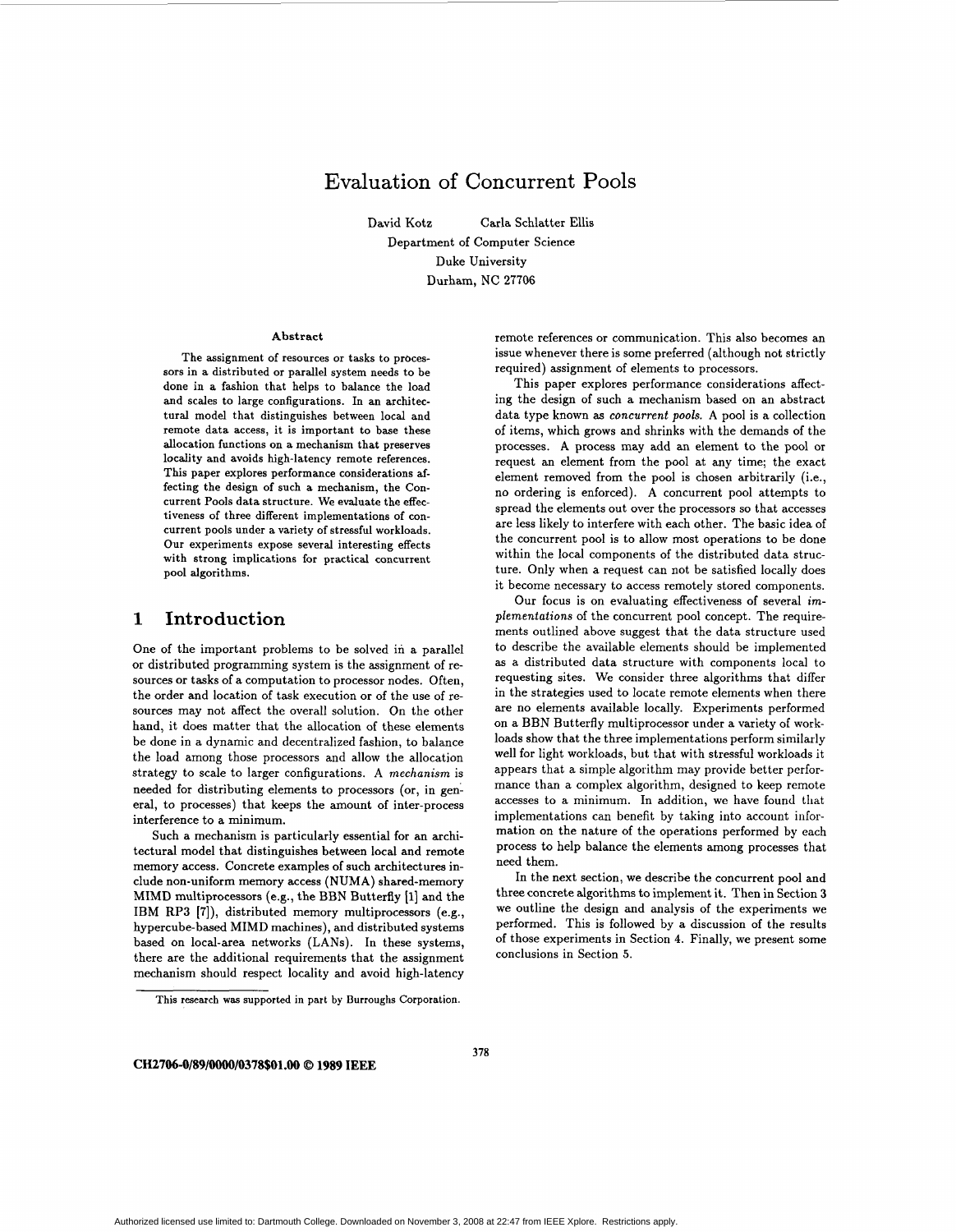### Evaluation of Concurrent Pools

David Kotz Carla Schlatter Ellis Department of Computer Science Duke University Durham, NC **27706** 

#### **Abstract**

The assignment of resources or tasks to processors in a distributed or parallel system needs to be done in a fashion that helps to balance the load and scales to large configurations. In an architectural model that distinguishes between local and remote data access, it is important to base these allocation functions on a mechanism that preserves locality and avoids high-latency remote references. This paper explores performance considerations affecting the design of such a mechanism, the Concurrent Pools data structure. We evaluate the effectiveness of three different implementations of concurrent pools under a variety of stressful workloads. Our experiments expose several interesting effects with strong implications for practical concurrent pool algorithms.

#### **1 Introduction**

One of the important problems to be solved in a parallel or distributed programming system is the assignment of resources or tasks of a computation to processor nodes. Often, the order and location of task execution or of the use of resources may not affect the overall solution. On the other hand, it does matter that the allocation of these elements be done in a dynamic and decentralized fashion, to balance the load among those processors and allow the allocation strategy to scale to larger configurations. **A** *mechanism* is needed for distributing elements to processors (or, in general, to processes) that keeps the amount of inter-process interference to a minimum.

Such a mechanism is particularly essential for an architectural model that distinguishes between local and remote memory access. Concrete examples of such architectures include non-uniform memory access (NUMA) shared-memory MIMD multiprocessors (e.g., the BBN Butterfly [l] and the IBM **RP3 [7]),** distributed memory multiprocessors (e.g., hypercube-based MIMD machines), and distributed systems based on local-area networks (LANs). In these systems, there are the additional requirements that the assignment mechanism should respect locality and avoid high-latency remote references or communication. This also becomes an issue whenever there is some preferred (although not strictly required) assignment of elements to processors.

This paper explores performance considerations affecting the design of such a mechanism based on an abstract data type known **as** *concurrent pools.* A pool is a collection of items, which grows and shrinks with the demands of the processes. A process may add an element to the pool or request **an** element from the pool at any time; the exact element removed from the pool is chosen arbitrarily (i.e., no ordering is enforced). A concurrent pool attempts to spread the elements out over the processors *so* that accesses are less likely to interfere with each other. The basic idea of the concurrent pool is to allow most operations to be done within the local components of the distributed data structure. Only when a request can not be satisfied locally does it become necessary to access remotely stored components.

Our focus is on evaluating effectiveness of several *implementations* of the concurrent pool concept. The requirements outlined above suggest that the data structure used to describe the available elements should be implemented **as** a distributed data structure with components local to requesting sites. We consider three algorithms that differ in the strategies used to locate remote elements when there are no elements available locally. Experiments performed on a BBN Butterfly multiprocessor under a variety **of** workloads show that the three implementations perform similarly well for light workloads, but that with stressful workloads it appears that a simple algorithm may provide better performance than a complex algorithm, designed to keep remote accesses to a minimum. In addition, we have found that implementations can benefit by taking into account inlormation on the nature of the operations performed by each process to help balance the elements among processes that need them.

In the next section, we describe the concurrent pool and three concrete algorithms to implement it. Then in Section **3**  we outline the design and analysis of the experiments we performed. This is followed by a discussion of the results of those experiments in Section **4.** Finally, we present some conclusions in Section *5.* 

This research **was** supported in part by **Burroughs** Corporation.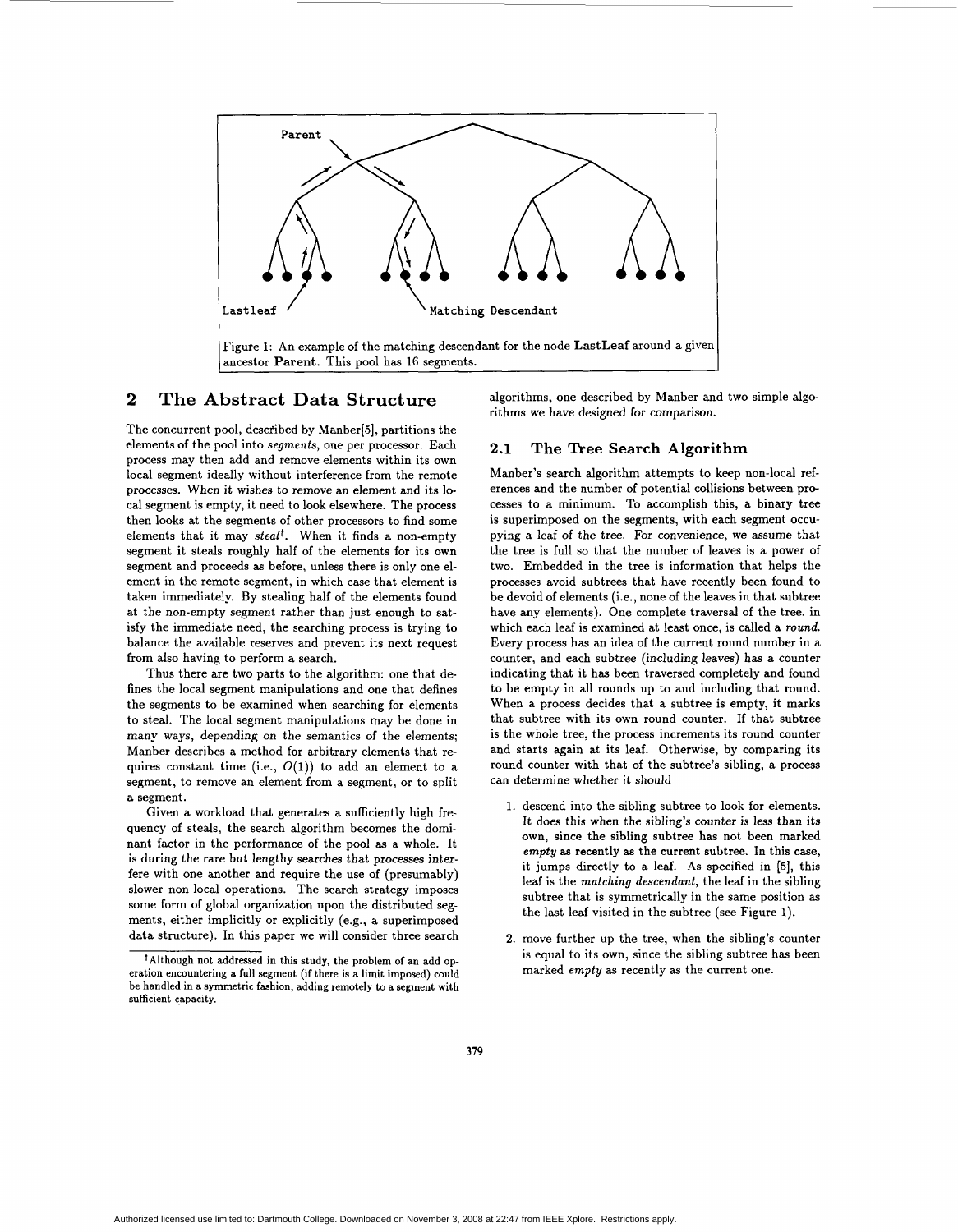

#### **2 The Abstract Data Structure**

The concurrent pool, desciibed by Manber[5], partitions the elements of the pool into *segments,* one per processor. Each process may then add and remove elements within its own local segment ideally without interference from the remote processes. When it wishes to remove an element and its local segment is empty, it need to look elsewhere. The process then looks at the segments of other processors to find some elements that it may *steal+.* When it finds a non-empty segment it steals roughly half of the elements for its own segment and proceeds **as** before, unless there is only one element in the remote segment, in which case that element is taken immediately. By stealing half **of** the elements found at the non-empty segment rather than just enough to satisfy the immediate need, the searching process is trying to balance the available reserves and prevent its next request from also having to perform a search.

Thus there are two parts to the algorithm: one that defines the local segment manipulations and one that defines the segments to be examined when searching for elements to steal. The local segment manipulations may be done in many ways, depending on the semantics of the elements; Manber describes a method for arbitrary elements that requires constant time (i.e.,  $O(1)$ ) to add an element to a segment, to remove an element from a segment, or to split a segment.

Given a workload that generates a sufficiently high frequency of steals, the search algorithm becomes the dominant factor in the performance of the pool **as** a whole. It is during the rare but lengthy searches that processes interfere with one another and require the use **of** (presumably) slower non-local operations. The search strategy imposes some form of global organization upon the distributed segments, either implicitly or explicitly (e.g., **a** superimposed data structure). In this paper we will consider three search algorithms, one described by Manber and two simple algorithms we have designed for comparison.

#### **2.1 The Tree Search Algorithm**

Manber's search algorithm attempts to keep non-local references and the number of potential collisions between processes to a minimum. To accomplish this, **a** binary tree is superimposed on the segments, with each segment occupying a leaf of the tree. For convenience, we assume that the tree is full *so* that the number of leaves is a power of two. Embedded in the tree is information that helps the processes avoid subtrees that have recently been found to be devoid of elements (i.e., none of the leaves in that subtree have any elements). One complete traversal of the tree, in which each leaf is examined at least once, is called a *round.*  Every process has an idea of the current round number in a counter, and each subtree (including leaves) has a counter indicating that it has been traversed completely and found to be empty in all rounds up to and including that round. When a process decides that a subtree is empty, it marks that subtree with its own round counter. If that subtree is the whole tree, the process increments its round counter and starts again at its leaf. Otherwise, by comparing its round counter with that of the subtree's sibling, a process can determine whether it should

- 1. descend into the sibling subtree to look for elements. It does this when the sibling's counter is less than its own, since the sibling subtree has not been marked *empty* **as** recently **as** the current subtree. In this case, it jumps directly to a leaf. As specified in [5], this leaf is the *matching descendant,* the leaf in the sibling subtree that is symmetrically in the same position **as**  the last leaf visited in the subtree (see Figure 1).
- **2.** move further up the tree, when the sibling's counter is equal to its own, since the sibling subtree has been marked *empty* **as** recently **as** the current one.

**<sup>&#</sup>x27;Although not addressed in this study, the problem of an add operation encountering a full segment (if there is a limit imposed) could be handled in a symmetric fashion, adding remotely to a segment with sufficient capacity.**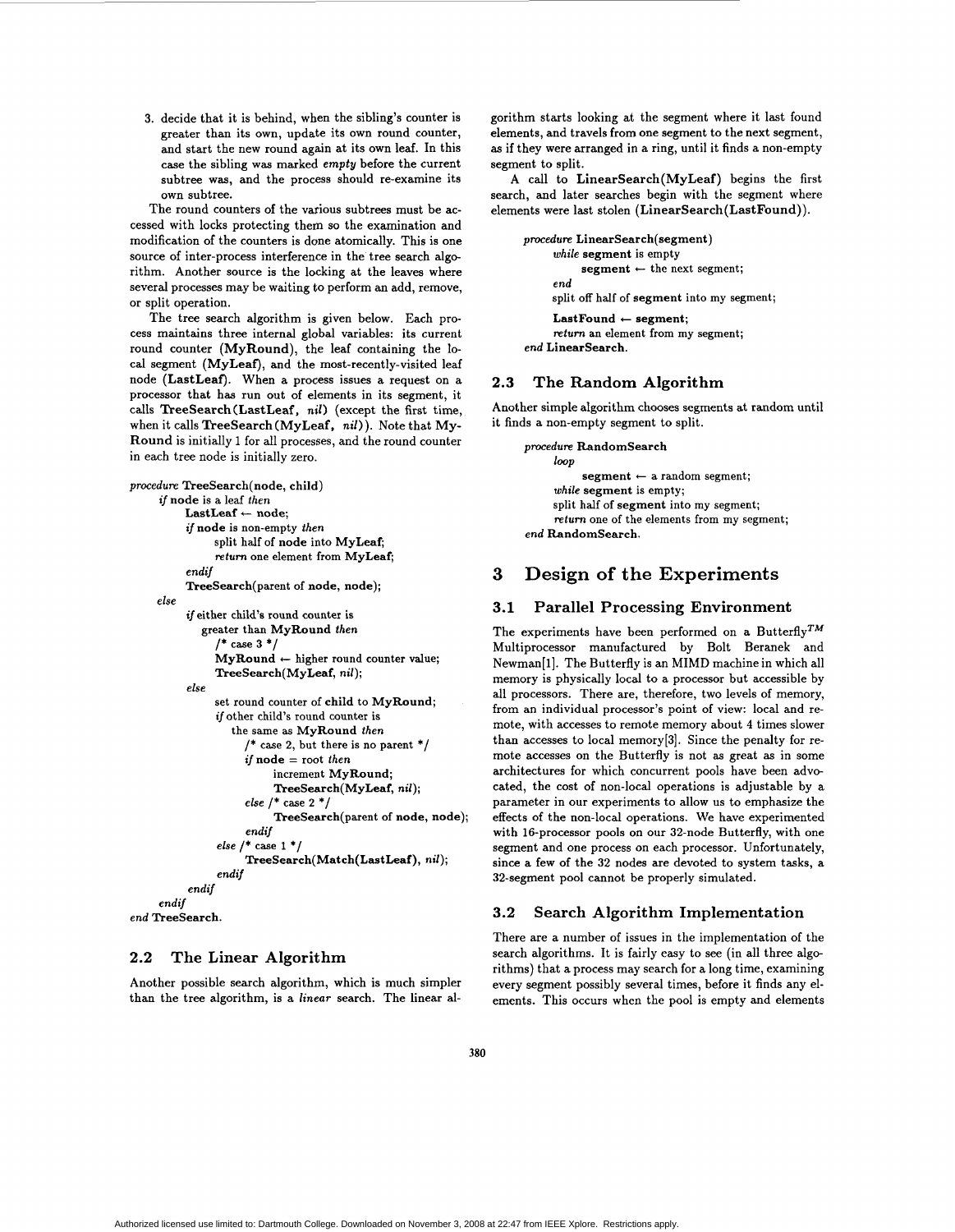3. decide that it is behind, when the sibling's counter is greater than its own, update its own round counter, and start the new round again at its own leaf. In this case the sibling was marked *empty* before the current subtree **was,** and the process should re-examine its own subtree.

The round counters of the various subtrees must be accessed with locks protecting them so the examination and modification of the counters is done atomically. This is one source of inter-process interference in the tree search algorithm. Another source is the locking at the leaves where several processes may be waiting to perform an add, remove, or split operation.

The tree search algorithm is given below. Each process maintains three internal global variables: its current round counter (MyRound), the leaf containing the local segment (MyLeaf), and the most-recently-visited leaf node (LastLeaf). When a process issues a request on a processor that has run out of elements in its segment, it calls TreeSearch(LastLeaf,  $nil$ ) (except the first time, when it calls TreeSearch(MyLeaf, *nil*)). Note that My-Round is initially 1 for all processes, and the round counter in each tree node is initially zero.

```
procedure Treesearch( node, child) 
      if node is a leaf then 
           LastLeaf \leftarrow node;if node is non-empty then 
                split half of node into MyLeat; 
                return one element from MyLeat; 
           endif 
           TreeSearch(parent of node, node); 
           if either child's round counter is 
     else 
              greater than MyRound then 
                 /* case 3 * / 
                MyRound \leftarrow higher round counter value;TreeSearch(MyLeaf, nil); 
                set round counter of child to MyRound; 
                 if other child's round counter is 
                    the same as MyRound then 
           else 
                      /* case 2, but there is no parent */ 
                      if node = root then 
                           increment MyRound; 
                            TreeSearch( MyLeaf, nil); 
                            TreeSearch(parent of node, node); 
                      else /* case 2 * / 
                      endif 
                 else /* case 1 */ 
                      TreeSearch(Match(LastLeaf), nil); 
                 endif 
           endif 
      endif 
end Treesearch.
```
#### **2.2 The Linear Algorithm**

Another possible search algorithm, which is much simpler than the tree algorithm, is a *linear* search. The linear algorithm starts looking at the segment where it last found elements, and travels from one segment to the next segment, **as** if they were arranged in a ring, until it finds a non-empty segment to split.

A call to LinearSearch(MyLeaf) begins the first search, and later searches begin with the segment where elements were last stolen **(LinearSearch(LastF0und)).** 

```
procedure LinearSearch(segment) 
      while segment is empty 
           segment \leftarrow the next segment;
     end 
     split off half of segment into my segment; 
     LastFound \leftarrow segment;
      return an element from my segment; 
end Linearsearch.
```
#### **2.3 The Random Algorithm**

Another simple algorithm chooses segments at random until it finds a non-empty segment to split.

*procedure* Randomsearch loop  $segment \leftarrow$  a random segment; *while* segment is empty; split half of segment into my segment; *return* one of the elements from my segment; *end* Randomsearch.

#### **3 Design of the Experiments**

#### **3.1 Parallel Processing Environment**

The experiments have been performed on a Butterfly<sup>TM</sup> Multiprocessor manufactured by Bolt Beranek and Newman[l]. The Butterfly is an MIMD machine in which all memory is physically local to a processor but accessible by all processors. There are, therefore, two levels of memory, from an individual processor's point of view: local and remote, with accesses to remote memory about **4** times slower than accesses to local memory[3]. Since the penalty for remote accesses on the Butterfly is not **as** great **as** in some architectures for which concurrent pools have been advocated, the cost of non-local operations is adjustable by a parameter in our experiments to allow us to emphasize the effects of the non-local operations. We have experimented with 16-processor pools on our 32-node Butterfly, with one segment and one process on each processor. Unfortunately, since a few of the 32 nodes are devoted to system tasks, a 32-segment pool cannot be properly simulated.

#### **3.2 Search Algorithm Implementation**

There are a number of issues in the implementation of the search algorithms. It is fairly easy to see (in all three algorithms) that a process may search for a long time, examining every segment possibly several times, before it finds any elements. This occurs when the pool is empty and elements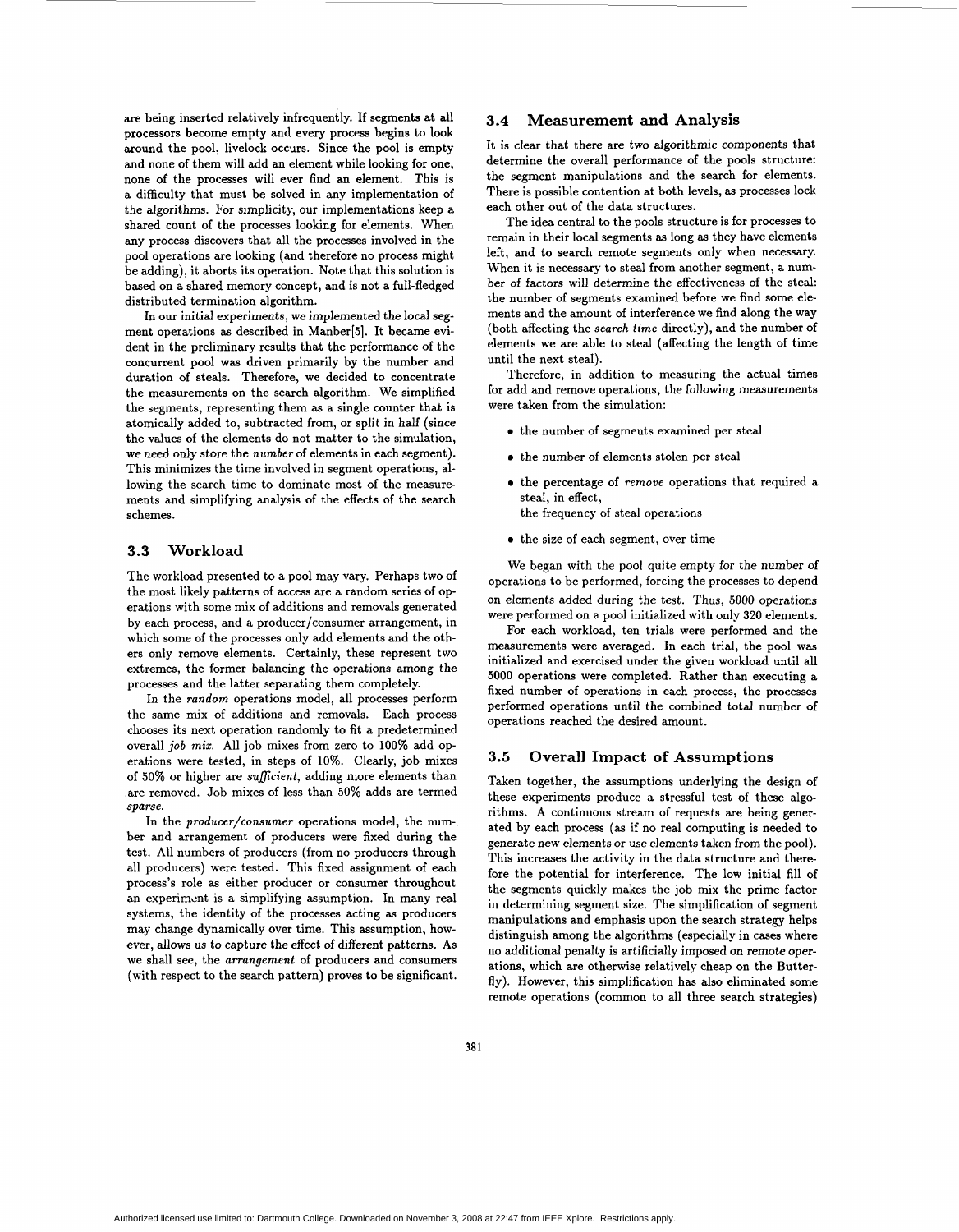are being inserted relatively infrequently. If segments at all processors become empty and every process begins to look around the pool, livelock occurs. Since the pool is empty and none of them will add **an** element while looking for one, none of the processes will ever find **an** element. This is a difficulty that must be solved in any implementation of the algorithms. For simplicity, our implementations keep a shared count of the processes looking for elements. When any process discovers that all the processes involved in the pool operations are looking (and therefore no process might be adding), it aborts its operation. Note that this solution is based on a shared memory concept, and is not **a** full-fledged distributed termination algorithm.

In our initial experiments, we implemented the local segment operations **as** described in Manber[5]. It became evident in the preliminary results that the performance of the concurrent pool was driven primarily by the number and duration of steals. Therefore, we decided to concentrate the measurements on the search algorithm. We simplified the segments, representing them **as** a single counter that is atomically added to, subtracted from, or split in half (since the values of the elements do not matter to the simulation, we need only store the *number* of elements in each segment). This minimizes the time involved in segment operations, allowing the search time to dominate most of the measurements and simplifying analysis of the effects of the search schemes.

#### **3.3 Workload**

The workload presented to a pool may vary. Perhaps two **of**  the most likely patterns of access are a random series of operations with some mix of additions and removals generated by each process, and a producer/consumer arrangement, in which some of the processes only add elements and the others only remove elements. Certainly, these represent two extremes, the former balancing the operations among the processes and the latter separating them completely.

In the *random* operations model, all processes perform the same mix of additions and removals. Each process chooses its next operation randomly to fit a predetermined overall *job mix.* All job mixes from zero to 100% add operations were tested, in steps of 10%. Clearly, job mixes of 50% or higher are *suficient,* adding more elements than are removed. Job mixes of less than 50% adds are termed *sparse.* 

In the *producer/consumer* operations model, the number and arrangement of producers were fixed during the test. All numbers of producers (from no producers through all producers) were tested. This fixed assignment of each process's role **as** either producer or consumer throughout an experiment is a simplifying assumption. In many real systems, the identity of the processes acting **as** producers may change dynamically over time. This assumption, however, allows **us** to capture the effect of different patterns, As we shall see, the *arrangement* **of** producers and consumers (with respect to the search pattern) proves to be significant.

#### **3.4 Measurement and Analysis**

It is clear that there are two algorithmic components that determine the overall performance of the pools structure: the segment manipulations and the search for elements. There is possible contention at both levels, **as** processes lock each other out of the data structures.

The idea central to the pools structure is for processes to remain in their local segments **as** long **as** they have elements left, and to search remote segments only when necessary. When it is necessary to steal from another segment, a number of factors will determine the effectiveness of the steal: the number of segments examined before we find some elements and the amount of interference we find along the way (both affecting the *search time* directly), and the number of elements we are able to steal (affecting the length of time until the next steal).

Therefore, in addition to measuring the actual times for add and remove operations, the following measurements were taken from the simulation:

- $\bullet$  the number of segments examined per steal
- the number of elements stolen per steal
- the percentage of *remove* operations that required a steal, in effect,
- the frequency of steal operations
- $\bullet$  the size of each segment, over time

We began with the pool quite empty for the number of operations to be performed, forcing the processes to depend on elements added during the test. Thus, 5000 operations were performed on a pool initialized with only **320** elements.

For each workload, ten trials were performed and the measurements were averaged. In each trial, the pool was initialized and exercised under the given workload until all 5000 operations were completed. Rather than executing a fixed number of operations in each process, the processes performed operations until the combined total number of operations reached the desired amount.

#### **3.5 Overall Impact of Assumptions**

Taken together, the assumptions underlying the design of these experiments produce a stressful test of these algorithms. A continuous stream of requests are being generated by each process **(as** if no real computing is needed to generate new elements **or** use elements taken from the pool). This increases the activity in the data structure and therefore the potential for interference. The low initial fill of the segments quickly makes the job mix the prime factor in determining segment size. The simplification of segment manipulations and emphasis upon the search strategy helps distinguish among the algorithms (especially in cases where no additional penalty is artificially imposed on remote operations, which are otherwise relatively cheap on the Butterfly). However, this simplification has also eliminated some remote operations (common to all three search strategies)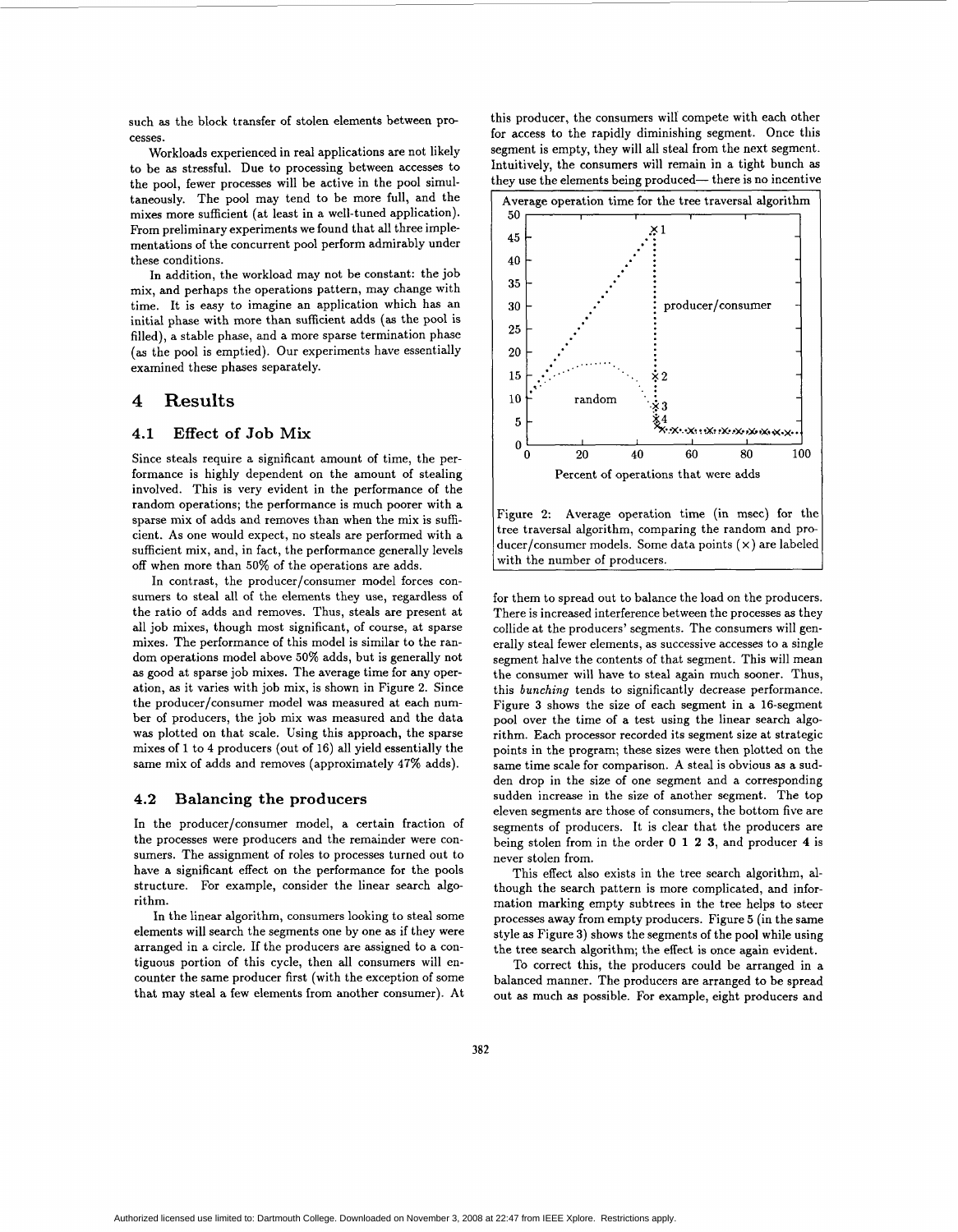such **as** the block transfer of stolen elements between processes.

Workloads experienced in real applications are not likely to be **as** stressful. Due to processing between accesses to the pool, fewer processes will be active in the pool simultaneously. The pool may tend to be more full, and the mixes more sufficient (at least in a well-tuned application). From preliminary experiments we found that all three implementations of the concurrent pool perform admirably under these conditions.

In addition, the workload may not be constant: the job mix, and perhaps the operations pattern, may change with time. It is easy to imagine an application which has an initial phase with more than sufficient adds **(as** the pool is filled), a stable phase, and a more sparse termination phase **(as** the pool is emptied). Our experiments have essentially examined these phases separately.

#### **4 Results**

#### **4.1 Effect of Job** Mix

Since steals require a significant amount of time, the performance is highly dependent on the amount of stealing involved. This is very evident in the performance of the random operations; the performance is much poorer with a sparse mix of adds and removes than when the mix is sufficient. As one would expect, no steals are performed with a sufficient mix, and, in fact, the performance generally levels off when more than **50%** of the operations are adds.

In contrast, the producer/consumer model forces consumers to steal all of the elements they use, regardless of the ratio of adds and removes. Thus, steals are present at all job mixes, though most significant, of course, at sparse mixes. The performance of this model is similar to the random operations model above 50% adds, but is generally not **as** good at sparse job mixes. The average time for any operation, **as** it varies with job mix, is shown in Figure **2.** Since the producer/consumer model was measured at each number of producers, the job mix was measured and the data was plotted on that scale. Using this approach, the sparse mixes of 1 to **4** producers (out of 16) all yield essentially the same mix of adds and removes (approximately **47%** adds).

#### **4.2 Balancing the producers**

In the producer/consumer model, a certain fraction of the processes were producers and the remainder were consumers. The assignment of roles to processes turned out to have a significant effect on the performance for the pools structure. For example, consider the linear search algorithm.

In the linear algorithm, consumers looking to steal some elements will search the segments one by one **as** if they were arranged in a circle. If the producers are assigned to a contiguous portion of this cycle, then all consumers will encounter the same producer first (with the exception of some that may steal a few elements from another consumer). At this producer, the consumers will compete with each other for access to the rapidly diminishing segment. Once this segment is empty, they will all steal from the next segment. Intuitively, the consumers will remain in a tight bunch **as**  they use the elements being produced- there is no incentive



Figure 2: Average operation time (in msec) for the tree traversal algorithm, comparing the random and prolucer/consumer models. Some data points ( **X)** are labelec with the number of producers.

for them to spread out to balance the load on the producers. There is increased interference between the processes **as** they collide at the producers' segments. The consumers will generally steal fewer elements, **as** successive accesses to a single segment halve the contents of that segment. This will mean the consumer will have to steal again much sooner. Thus, this *bunching* tends to significantly decrease performance. Figure **3** shows the size of each segment in a 16-segment pool over the time of a test using the linear search algorithm. Each processor recorded its segment size at strategic points in the program; these sizes were then plotted on the same time scale for comparison. **A** steal is obvious **as** a sudden drop in the size of one segment and a corresponding sudden increase in the size of another segment. The top eleven segments are those of consumers, the bottom five are segments of producers. It is clear that the producers are being stolen from in the order 0 **1 2 3,** and producer **4** is never stolen from.

This effect also exists in the tree search algorithm, although the search pattern is more complicated, and information marking empty subtrees in the tree helps to steer processes away from empty producers. Figure **5** (in the same style **as** Figure **3)** shows the segments of the pool while using the tree search algorithm; the effect is once again evident.

To correct this, the producers could be arranged in a balanced manner. The producers are arranged to be spread out **as** much **as** possible. For example, eight producers and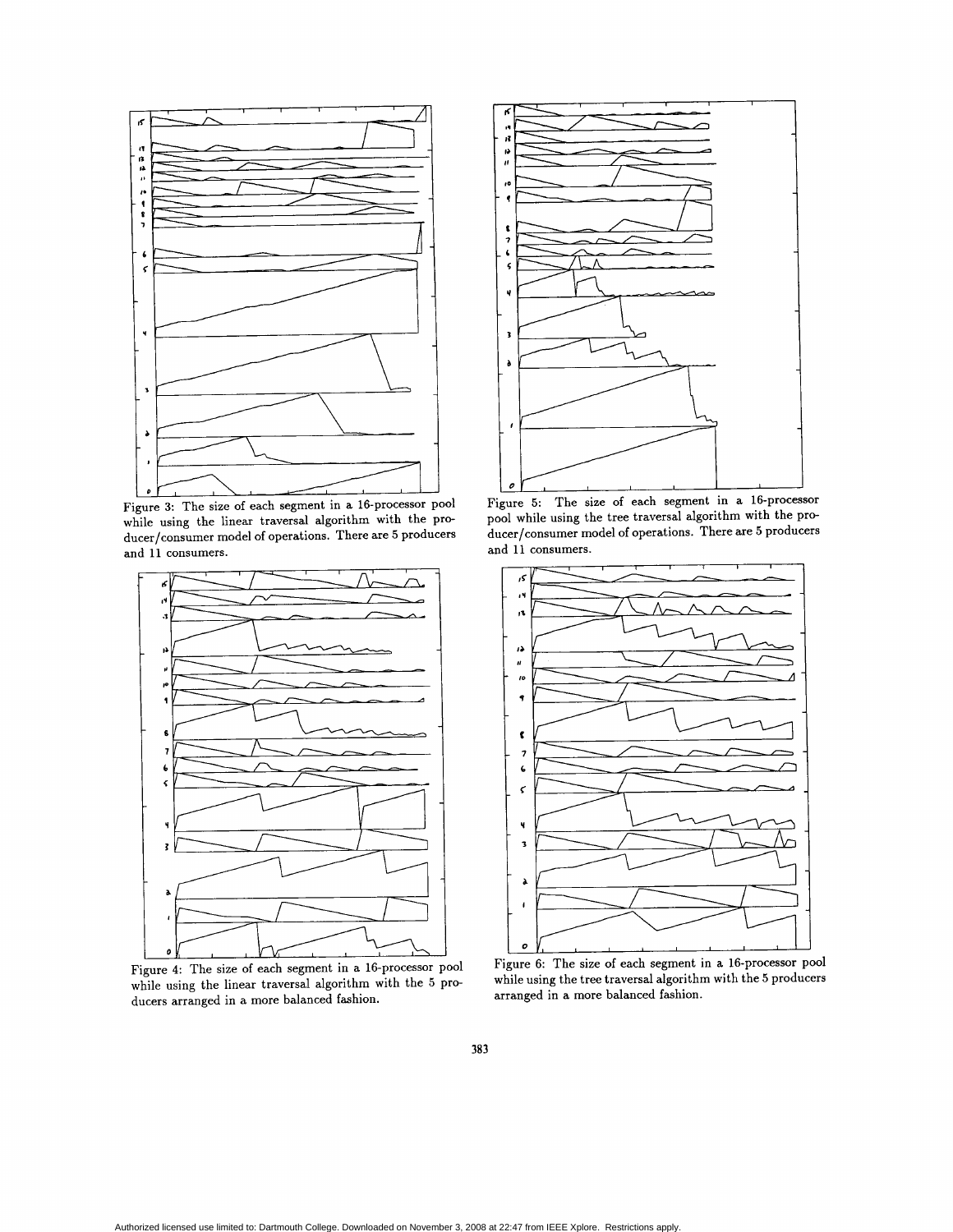

Figure **3:** The size of each segment in a 16-processor pool while using the linear traversal algorithm with the producer/consumer model of operations. There are *5* producers and 11 consumers.



Figure **4:** The size of each segment in a 16-processor pool while using the linear traversal algorithm with the *5* producers arranged in a more balanced fashion.



Figure *5:* The size of each segment in a 16-processor pool while using the tree traversal algorithm with the producer/consumer model of operations. There are *5* producers and 11 consumers.



Figure 6: The size **of** each segment in a 16-processor pool while using the tree traversal algorithm with the *5* producers arranged in a more balanced fashion.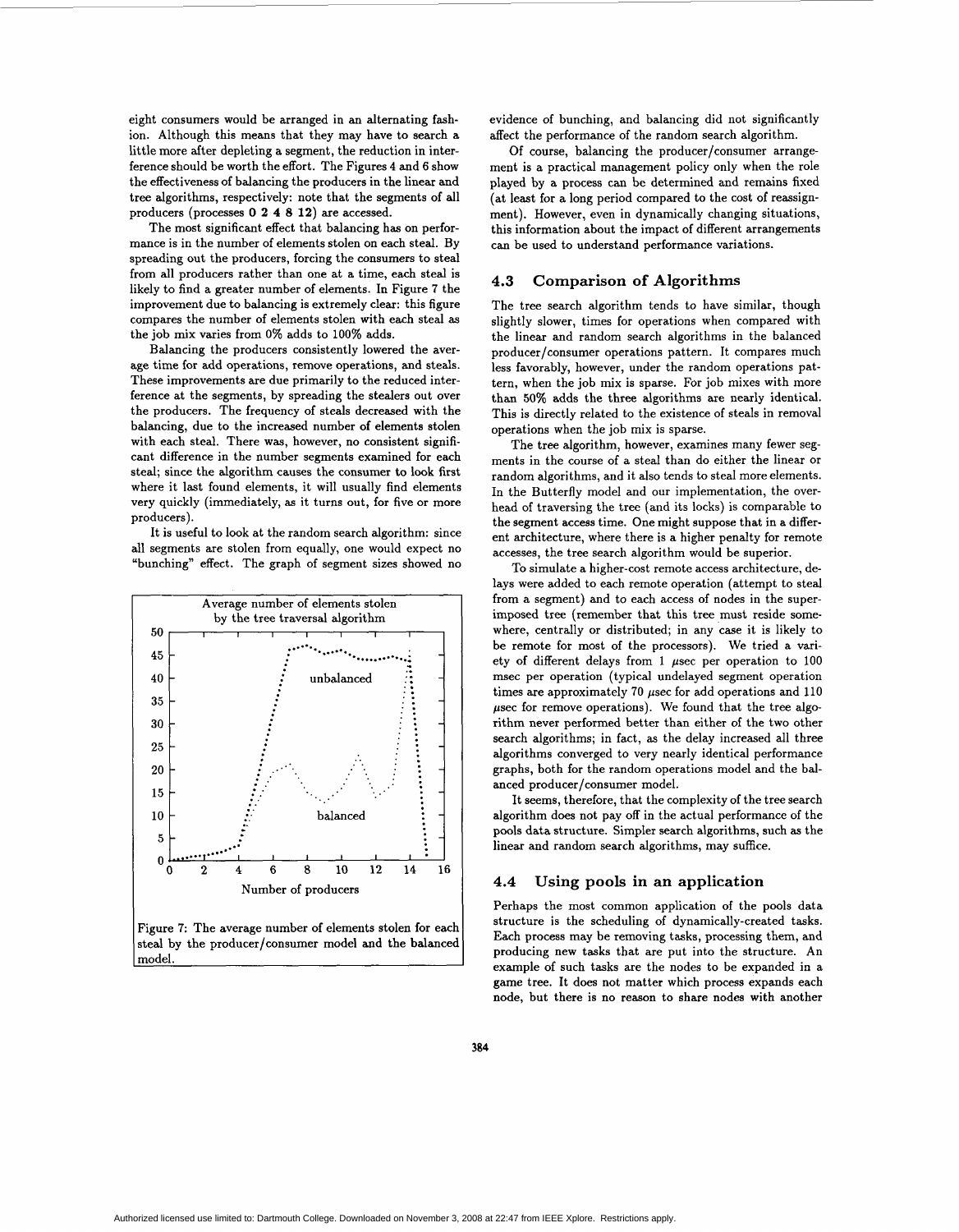eight consumers would be arranged in an alternating fashion. Although this means that they may have to search a little more after depleting a segment, the reduction in interference should be worth the effort. The Figures **4** and 6 show the effectiveness of balancing the producers in the linear and tree algorithms, respectively: note that the segments of all producers (processes *0* **2 4** *8* **12)** are accessed.

The most significant effect that balancing has on performance is in the number of elements stolen on each steal. By spreading out the producers, forcing the consumers to steal from all producers rather than one at a time, each steal is likely to find a greater number of elements. In Figure 7 the improvement due to balancing is extremely clear: this figure compares the number of elements stolen with each steal **as**  the job mix varies from 0% adds to 100% adds.

Balancing the producers consistently lowered the average time for add operations, remove operations, and steals. These improvements are due primarily to the reduced interference at the segments, by spreading the stealers out over the producers. The frequency of steals decreased with the balancing, due to the increased number of elements stolen with each steal. There was, however, no consistent significant difference in the number segments examined for each steal; since the algorithm causes the consumer to look first where it last found elements, it will usually find elements very quickly (immediately, **as** it turns out, for five or more producers).

It is useful to look at the random search algorithm: since all segments are stolen from equally, one would expect no "bunching" effect. The graph of segment sizes showed no





evidence of bunching, and balancing did not significantly affect the performance of the random search algorithm.

Of course, balancing the producer/consumer arrangement is a practical management policy only when the role played by a process can be determined and remains fixed (at least for a long period compared to the cost of reassignment). However, even in dynamically changing situations, this information about the impact of different arrangements can be used to understand performance variations.

#### **4.3 Comparison of Algorithms**

The tree search algorithm tends to have similar, though slightly slower, times for operations when compared with the linear and random search algorithms in the balanced producer/consumer operations pattern. It compares much less favorably, however, under the random operations pattern, when the job mix is sparse. For job mixes with more than 50% adds the three algorithms are nearly identical. This is directly related to the existence of steals in removal operations when the job mix is sparse.

The tree algorithm, however, examines many fewer segments in the course of a steal than do either the linear or random algorithms, and it also tends to steal more elements. In the Butterfly model and our implementation, the overhead of traversing the tree (and its locks) is comparable to the segment access time. One might suppose that in a different architecture, where there is a higher penalty for remote accesses, the tree search algorithm would be superior.

To simulate a higher-cost remote access architecture, delays were added to each remote operation (attempt to steal from a segment) and to each access of nodes in the superimposed tree (remember that this tree must reside somewhere, centrally or distributed; in any case it is likely to be remote for most of the processors). We tried a variety of different delays from 1  $\mu$ sec per operation to 100 msec per operation (typical undelayed segment operation times are approximately 70  $\mu$ sec for add operations and 110  $\mu$ sec for remove operations). We found that the tree algorithm never performed better than either of the two other search algorithms; in fact, **as** the delay increased all three algorithms converged to very nearly identical performance graphs, both for the random operations model and the balanced producer/consumer model.

It seems, therefore, that the complexityof the tree search algorithm does not pay off in the actual performance of the pools data structure. Simpler search algorithms, such **as** the linear and random search algorithms, may suffice.

#### **4.4 Using pools in an application**

Perhaps the most common application of the pools data structure is the scheduling of dynamically-created tasks. Each process may be removing tasks, processing them, and producing new tasks that are put into the structure. An example of such tasks are the nodes to be expanded in a game tree. It does not matter which process expands each node, but there is no reason to share nodes with another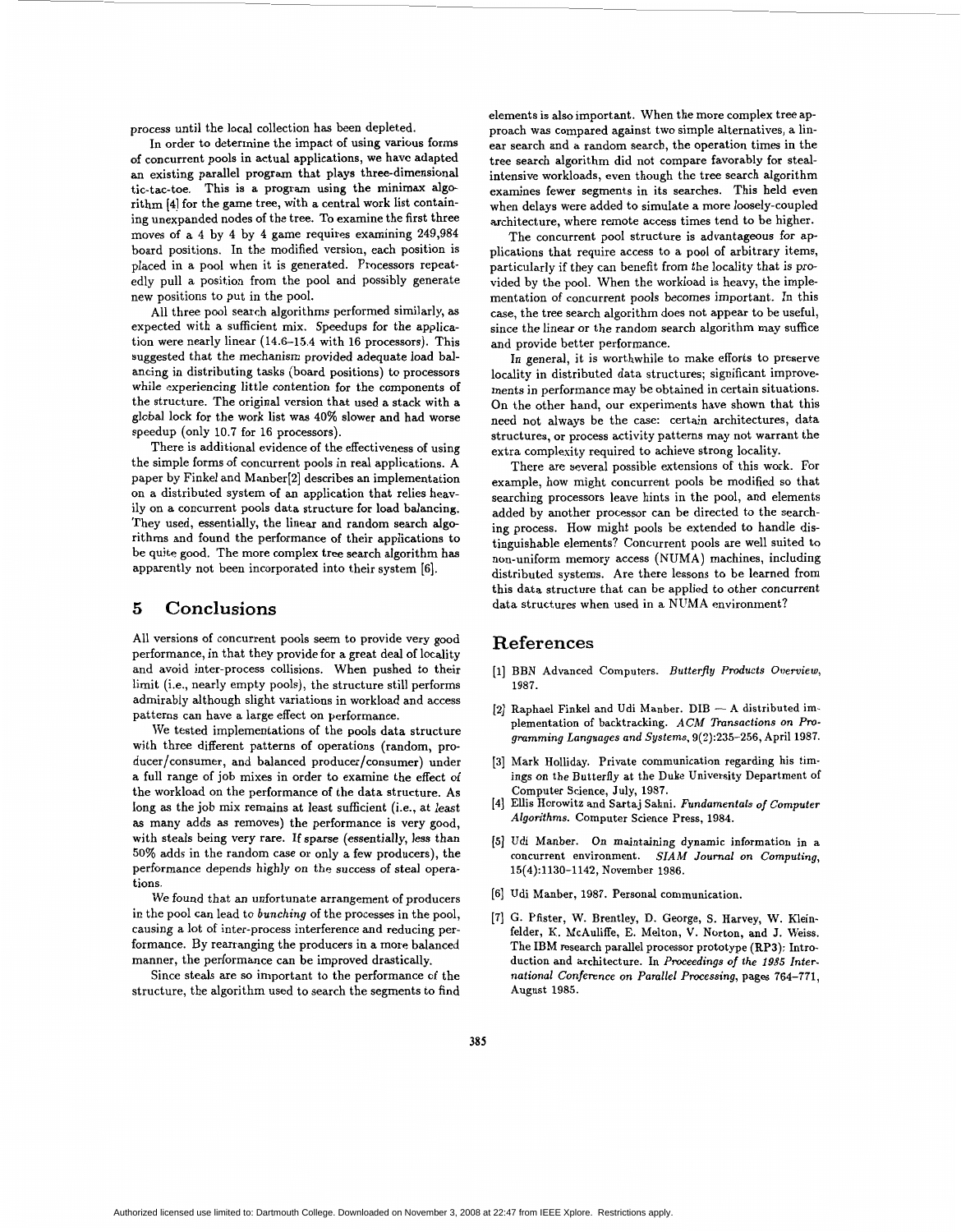process until the local collection has been depleted.

In order to determine the impact of using various forms of concurrent pools in actual applications, we have adapted an existing parallel program that plays three-dimensional tic-tac-toe. This is a program using the minimax dgorithm **[4]** for the game tree, with a central work list containing unexpanded nodes of the tree. To examine the first three moves of a **4** by **4** by **4** game requires examining **249,984**  board positions. In the modified version, each position is placed in a pool when it is generated. Processors repeatedly pull a position from the pool and possibly generate new positions to put in the pool.

All three pool search algorithms performed similarly, **as**  expected with a sufficient mix. Speedups for the application were nearly linear **(14.6-15.4** with **16** processors). This suggested that the mechanism provided adequate load balancing in distributing tasks (board positions) to processors while experiencing little contention for the components of the structure. The original version that used a stack with a global lock for the work list was **40%** slower and had worse speedup (only 10.7 for 16 processors).

There is additional evidence of the effectiveness of using the simple forms of concurrent pools in real applications. A paper by Finkel and Manber[2] describes an implementation on a distributed system of an application that relies heavily on a concurrent pools data structure for load balancing. They used, essentially, the linear and random search **algo**rithms and found the performance of their applications to be quite good. The more complex tree search algorithm has apparently not been incorporated into their system **[6].** 

#### *5* **Conclusions**

All versions of concurrent pools seem to provide very good performance, in that they provide for a great deal of locality and avoid inter-process collisions. When pushed to their limit (i.e., nearly empty pools), the structure still performs admirably although slight variations in workload and access patterns can have a large effect on performance.

We tested implementations of the pools data structure with three different patterns of operations (random, producer/consumer, and balanced producer/consumer) under a full range of job mixes in order to examine the effect of the workload on the performance of the data structure. **As**  long **as** the job mix remains at least sufficient (i.e., at least **as** many adds **as** removes) the performance is very good, with steals being very rare. **If** sparse (essentially, less than 50% adds in the random case or only a few producers), the performance depends highly on the success of steal operations.

We found that an unfortunate arrangement of producers in the pool can lead to *bunching* of the processes in the pool, causing a lot of inter-process interference and reducing performance. By rearranging the producers in a more balanced manner, the performance can be improved drastically.

Since steals are so important to the performance of the structure, the algorithm used to search the segments to find elements is also important. When the more complex tree approach was compared against two simple alternatives, a linear search and a random search, the operation times in the tree search algorithm did not compare favorably for stealintensive workloads, even though the tree search algorithm examines fewer segments in its searches. This held even when delays were added to simulate a more loosely-coupled architecture, where remote access times tend to be higher.

The concurrent pool structure is advantageous for applications that require access to a pool of arbitrary items, particularly if they can benefit from the locality that is provided by the pool. When the workload is heavy, the implementation of concurrent pools becomes important. In this case, the tree search algorithm does not appear to be useful, since the linear or the random search algorithm may suffice and provide better performance.

In general, it is worthwhile to make efforts to preserve locality in distributed data structures; significant improvements in perforinance may be obtained in certain situations. On the other hand, our experiments have shown that this need not always be the case: certain architectures, data structures, or process activity patterns may not warrant the extra complexity required to achieve strong locality.

There are several possible extensions of this work. For example, how might concurrent pools be modified *so* that searching processors leave hints in the pool, and elements added by another processor can be directed to the searching process. How might pools be extended to handle distinguishable elements? Concurrent pools are well suited to non-uniform memory access (NUMA) machines, including distributed systems. Are there lessons to be learned from this data structure that can be applied to other concurrent data structures when used in a NUMA environment?

#### **References**

- **[I]** BBN Advanced Computers. *Butterfly Products Overview,*  **1987.**
- [2] Raphael Finkel and Udi Manber. DIB A distributed implementation of backtracking. *ACM Transactions on Programming Languages and Systems,* **9(2):235-256,** April **1987.**
- **[3]** Mark Holliday. Private communication regarding his timings on the Butterfly at the Duke University Department of Computer Science, July, **1987.**
- **[4]** Ellis Horowitz and Sartaj Sahni. *Fundamentals of Computer Algorithms.* Computer Science Press, **1984.**
- **(51** Udi Manber. On maintaining dynamic information in a concurrent environment. *SZA M Journal on Computing,*  **15(4):1130-1142,** November **1986.**
- **[6]** Udi Manber, **1987.** Personal communication.
- **[7]** *G.* Pfister, W. Brentley, D. George, *S.* Harvey, W. Kleinfelder, **K.** McAuliffe, E. Melton, **V.** Norton, and **J.** Weiss. The IBM research parallel processor prototype **(RP3):** Introduction and architecture. In *Proceedings of the 1985 International Conference on Parallel Processing,* pages **764-771,**  August **1985.**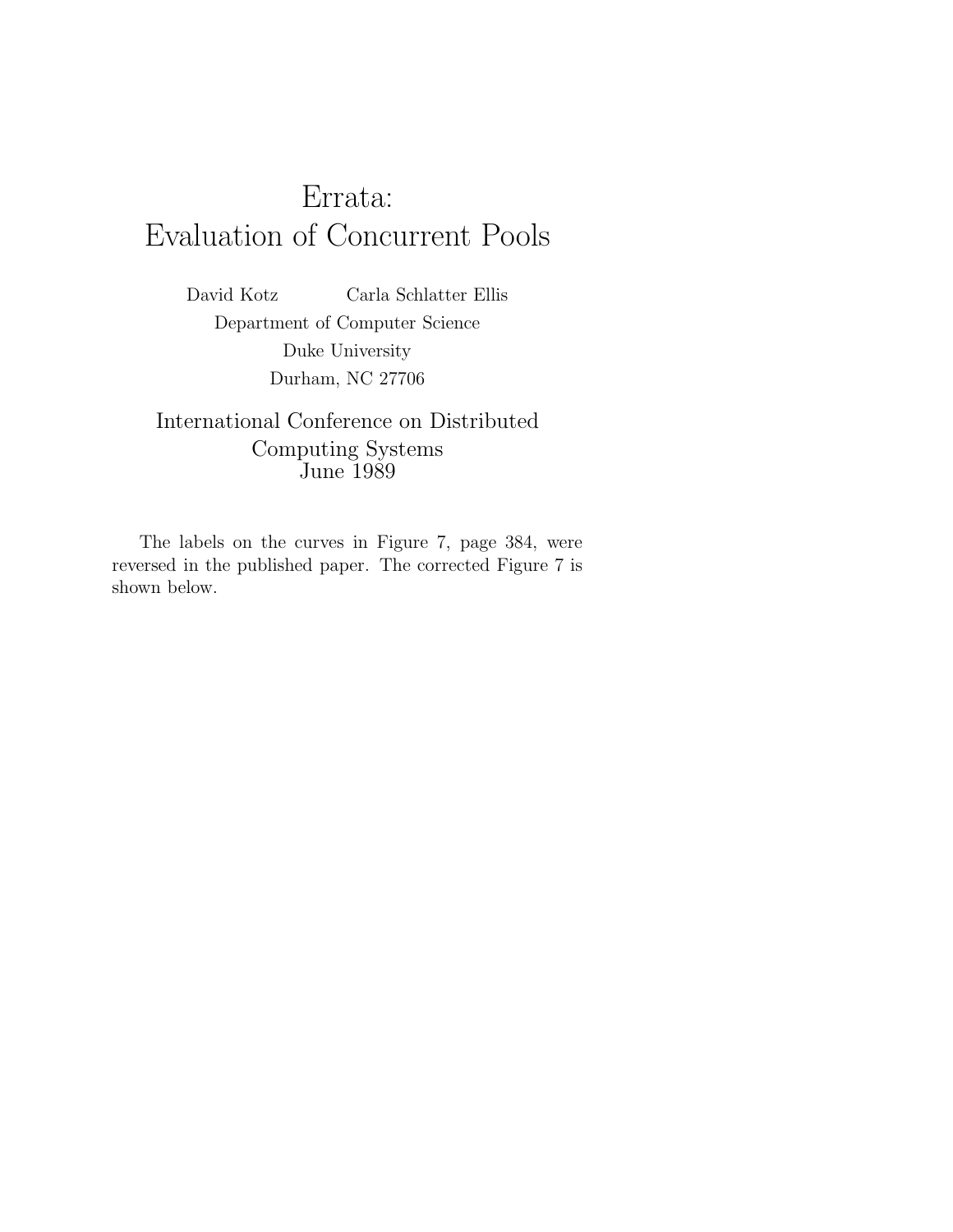# Errata: Evaluation of Concurrent Pools

David Kotz Carla Schlatter Ellis Department of Computer Science Duke University Durham, NC 27706

International Conference on Distributed Computing Systems June 1989

The labels on the curves in Figure 7, page 384, were reversed in the published paper. The corrected Figure 7 is shown below.